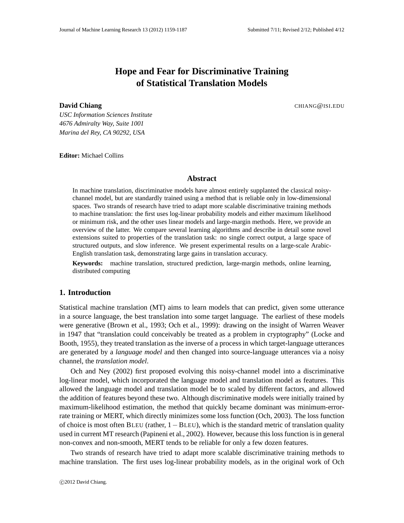## **Hope and Fear for Discriminative Training of Statistical Translation Models**

#### **David Chiang** CHIANG@ISI.EDU

*USC Information Sciences Institute 4676 Admiralty Way, Suite 1001 Marina del Rey, CA 90292, USA*

**Editor:** Michael Collins

## **Abstract**

In machine translation, discriminative models have almost entirely supplanted the classical noisychannel model, but are standardly trained using a method that is reliable only in low-dimensional spaces. Two strands of research have tried to adapt more scalable discriminative training methods to machine translation: the first uses log-linear probability models and either maximum likelihood or minimum risk, and the other uses linear models and large-margin methods. Here, we provide an overview of the latter. We compare several learning algorithms and describe in detail some novel extensions suited to properties of the translation task: no single correct output, a large space of structured outputs, and slow inference. We present experimental results on a large-scale Arabic-English translation task, demonstrating large gains in translation accuracy.

**Keywords:** machine translation, structured prediction, large-margin methods, online learning, distributed computing

#### **1. Introduction**

Statistical machine translation (MT) aims to learn models that can predict, given some utterance in a source language, the best translation into some target language. The earliest of these models were generative (Brown et al., 1993; Och et al., 1999): drawing on the insight of Warren Weaver in 1947 that "translation could conceivably be treated as a problem in cryptography" (Locke and Booth, 1955), they treated translation as the inverse of a process in which target-language utterances are generated by a *language model* and then changed into source-language utterances via a noisy channel, the *translation model*.

Och and Ney (2002) first proposed evolving this noisy-channel model into a discriminative log-linear model, which incorporated the language model and translation model as features. This allowed the language model and translation model be to scaled by different factors, and allowed the addition of features beyond these two. Although discriminative models were initially trained by maximum-likelihood estimation, the method that quickly became dominant was minimum-errorrate training or MERT, which directly minimizes some loss function (Och, 2003). The loss function of choice is most often BLEU (rather, 1−BLEU), which is the standard metric of translation quality used in current MT research (Papineni et al., 2002). However, because this loss function is in general non-convex and non-smooth, MERT tends to be reliable for only a few dozen features.

Two strands of research have tried to adapt more scalable discriminative training methods to machine translation. The first uses log-linear probability models, as in the original work of Och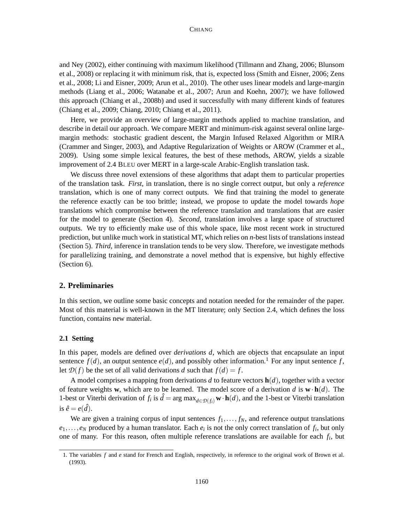and Ney (2002), either continuing with maximum likelihood (Tillmann and Zhang, 2006; Blunsom et al., 2008) or replacing it with minimum risk, that is, expected loss (Smith and Eisner, 2006; Zens et al., 2008; Li and Eisner, 2009; Arun et al., 2010). The other uses linear models and large-margin methods (Liang et al., 2006; Watanabe et al., 2007; Arun and Koehn, 2007); we have followed this approach (Chiang et al., 2008b) and used it successfully with many different kinds of features (Chiang et al., 2009; Chiang, 2010; Chiang et al., 2011).

Here, we provide an overview of large-margin methods applied to machine translation, and describe in detail our approach. We compare MERT and minimum-risk against several online largemargin methods: stochastic gradient descent, the Margin Infused Relaxed Algorithm or MIRA (Crammer and Singer, 2003), and Adaptive Regularization of Weights or AROW (Crammer et al., 2009). Using some simple lexical features, the best of these methods, AROW, yields a sizable improvement of 2.4 BLEU over MERT in a large-scale Arabic-English translation task.

We discuss three novel extensions of these algorithms that adapt them to particular properties of the translation task. *First*, in translation, there is no single correct output, but only a *reference* translation, which is one of many correct outputs. We find that training the model to generate the reference exactly can be too brittle; instead, we propose to update the model towards *hope* translations which compromise between the reference translation and translations that are easier for the model to generate (Section 4). *Second*, translation involves a large space of structured outputs. We try to efficiently make use of this whole space, like most recent work in structured prediction, but unlike much work in statistical MT, which relies on *n*-best lists of translations instead (Section 5). *Third*, inference in translation tends to be very slow. Therefore, we investigate methods for parallelizing training, and demonstrate a novel method that is expensive, but highly effective (Section 6).

#### **2. Preliminaries**

In this section, we outline some basic concepts and notation needed for the remainder of the paper. Most of this material is well-known in the MT literature; only Section 2.4, which defines the loss function, contains new material.

## **2.1 Setting**

In this paper, models are defined over *derivations d*, which are objects that encapsulate an input sentence  $f(d)$ , an output sentence  $e(d)$ , and possibly other information.<sup>1</sup> For any input sentence *f*, let  $\mathcal{D}(f)$  be the set of all valid derivations *d* such that  $f(d) = f$ .

A model comprises a mapping from derivations *d* to feature vectors **h**(*d*), together with a vector of feature weights **w**, which are to be learned. The model score of a derivation *d* is **w**· **h**(*d*). The 1-best or Viterbi derivation of  $f_i$  is  $\hat{d} = \arg \max_{d \in \mathcal{D}(f_i)} \mathbf{w} \cdot \mathbf{h}(d)$ , and the 1-best or Viterbi translation is  $\hat{e} = e(\hat{d})$ .

We are given a training corpus of input sentences  $f_1, \ldots, f_N$ , and reference output translations  $e_1, \ldots, e_N$  produced by a human translator. Each  $e_i$  is not the only correct translation of  $f_i$ , but only one of many. For this reason, often multiple reference translations are available for each *f<sup>i</sup>* , but

<sup>1.</sup> The variables *f* and *e* stand for French and English, respectively, in reference to the original work of Brown et al. (1993).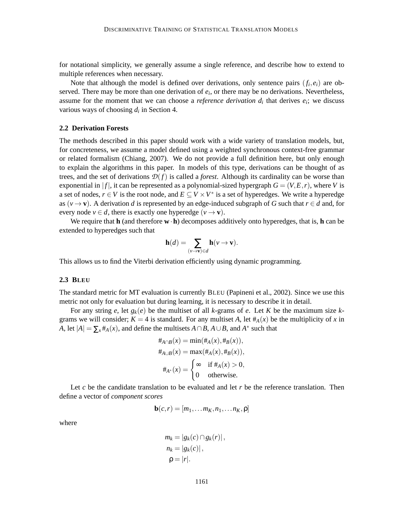for notational simplicity, we generally assume a single reference, and describe how to extend to multiple references when necessary.

Note that although the model is defined over derivations, only sentence pairs  $(f_i, e_i)$  are observed. There may be more than one derivation of  $e_i$ , or there may be no derivations. Nevertheless, assume for the moment that we can choose a *reference derivation*  $d_i$  that derives  $e_i$ ; we discuss various ways of choosing *d<sup>i</sup>* in Section 4.

#### **2.2 Derivation Forests**

The methods described in this paper should work with a wide variety of translation models, but, for concreteness, we assume a model defined using a weighted synchronous context-free grammar or related formalism (Chiang, 2007). We do not provide a full definition here, but only enough to explain the algorithms in this paper. In models of this type, derivations can be thought of as trees, and the set of derivations  $\mathcal{D}(f)$  is called a *forest*. Although its cardinality can be worse than exponential in  $|f|$ , it can be represented as a polynomial-sized hypergraph  $G = (V, E, r)$ , where V is a set of nodes,  $r \in V$  is the root node, and  $E \subseteq V \times V^*$  is a set of hyperedges. We write a hyperedge as ( $v \rightarrow v$ ). A derivation *d* is represented by an edge-induced subgraph of *G* such that  $r \in d$  and, for every node  $v \in d$ , there is exactly one hyperedge  $(v \rightarrow v)$ .

We require that **h** (and therefore **w**·**h**) decomposes additively onto hyperedges, that is, **h** can be extended to hyperedges such that

$$
\mathbf{h}(d) = \sum_{(\nu \to \mathbf{v}) \in d} \mathbf{h}(\nu \to \mathbf{v}).
$$

This allows us to find the Viterbi derivation efficiently using dynamic programming.

#### **2.3 BLEU**

The standard metric for MT evaluation is currently BLEU (Papineni et al., 2002). Since we use this metric not only for evaluation but during learning, it is necessary to describe it in detail.

For any string *e*, let  $g_k(e)$  be the multiset of all *k*-grams of *e*. Let *K* be the maximum size *k*grams we will consider;  $K = 4$  is standard. For any multiset A, let  $#_A(x)$  be the multiplicity of x in *A*, let  $|A| = \sum_{x} #_{A}(x)$ , and define the multisets  $A \cap B$ ,  $A \cup B$ , and  $A^*$  such that

$$
\begin{aligned}\n\#_{A \cap B}(x) &= \min(\#_A(x), \#_B(x)), \\
\#_{A \cup B}(x) &= \max(\#_A(x), \#_B(x)), \\
\#_{A^*}(x) &= \begin{cases}\n\infty & \text{if } \#_A(x) > 0, \\
0 & \text{otherwise.}\n\end{cases}\n\end{aligned}
$$

Let *c* be the candidate translation to be evaluated and let *r* be the reference translation. Then define a vector of *component scores*

$$
\mathbf{b}(c,r)=[m_1,\ldots m_K,n_1,\ldots n_K,\mathsf{p}]
$$

where

$$
m_k = |g_k(c) \cap g_k(r)|,
$$
  
\n
$$
n_k = |g_k(c)|,
$$
  
\n
$$
\rho = |r|.
$$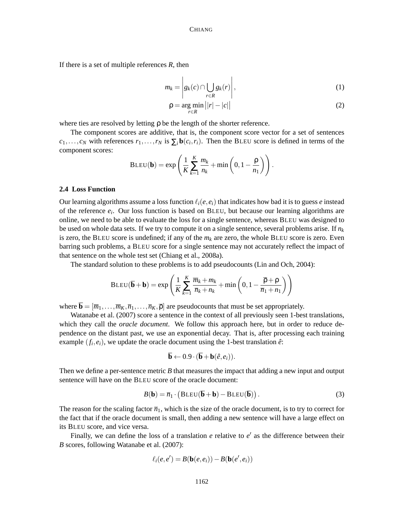If there is a set of multiple references *R*, then

$$
m_k = \left| g_k(c) \cap \bigcup_{r \in R} g_k(r) \right|,
$$
 (1)

$$
\rho = \underset{r \in R}{\arg \min} \left| |r| - |c| \right| \tag{2}
$$

where ties are resolved by letting  $\rho$  be the length of the shorter reference.

The component scores are additive, that is, the component score vector for a set of sentences  $c_1, \ldots, c_N$  with references  $r_1, \ldots, r_N$  is  $\sum_i \mathbf{b}(c_i, r_i)$ . Then the BLEU score is defined in terms of the component scores:

$$
BLEU(\mathbf{b}) = \exp\left(\frac{1}{K}\sum_{k=1}^{K}\frac{m_k}{n_k} + \min\left(0, 1 - \frac{\rho}{n_1}\right)\right).
$$

### **2.4 Loss Function**

Our learning algorithms assume a loss function  $\ell_i(e, e_i)$  that indicates how bad it is to guess *e* instead of the reference *e<sup>i</sup>* . Our loss function is based on BLEU, but because our learning algorithms are online, we need to be able to evaluate the loss for a single sentence, whereas BLEU was designed to be used on whole data sets. If we try to compute it on a single sentence, several problems arise. If *n<sup>k</sup>* is zero, the BLEU score is undefined; if any of the *m<sup>k</sup>* are zero, the whole BLEU score is zero. Even barring such problems, a BLEU score for a single sentence may not accurately reflect the impact of that sentence on the whole test set (Chiang et al., 2008a).

The standard solution to these problems is to add pseudocounts (Lin and Och, 2004):

$$
\text{BLEU}(\overline{\mathbf{b}} + \mathbf{b}) = \exp\left(\frac{1}{K} \sum_{k=1}^{K} \frac{\overline{m}_k + m_k}{\overline{n}_k + n_k} + \min\left(0, 1 - \frac{\overline{\rho} + \rho}{\overline{n}_1 + n_1}\right)\right)
$$

where  $\overline{\mathbf{b}} = [\overline{m}_1, \dots, \overline{m}_K, \overline{n}_1, \dots, \overline{n}_K, \overline{\rho}]$  are pseudocounts that must be set appropriately.

Watanabe et al. (2007) score a sentence in the context of all previously seen 1-best translations, which they call the *oracle document*. We follow this approach here, but in order to reduce dependence on the distant past, we use an exponential decay. That is, after processing each training example  $(f_i, e_i)$ , we update the oracle document using the 1-best translation  $\hat{e}$ :

$$
\overline{\mathbf{b}} \leftarrow 0.9 \cdot (\overline{\mathbf{b}} + \mathbf{b}(\hat{e}, e_i)).
$$

Then we define a per-sentence metric *B* that measures the impact that adding a new input and output sentence will have on the BLEU score of the oracle document:

$$
B(\mathbf{b}) = \overline{n}_1 \cdot (B \text{LEU}(\overline{\mathbf{b}} + \mathbf{b}) - B \text{LEU}(\overline{\mathbf{b}})). \tag{3}
$$

The reason for the scaling factor  $\overline{n}_1$ , which is the size of the oracle document, is to try to correct for the fact that if the oracle document is small, then adding a new sentence will have a large effect on its BLEU score, and vice versa.

Finally, we can define the loss of a translation  $e$  relative to  $e'$  as the difference between their *B* scores, following Watanabe et al. (2007):

$$
\ell_i(e, e') = B(\mathbf{b}(e, e_i)) - B(\mathbf{b}(e', e_i))
$$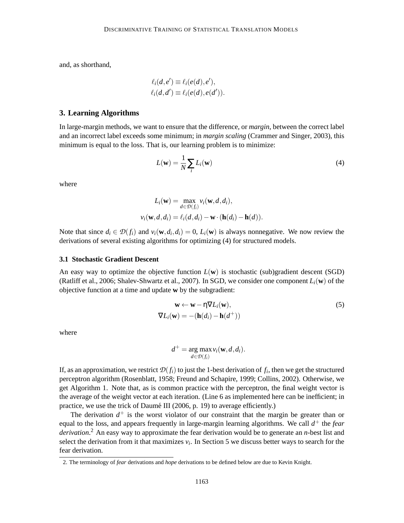and, as shorthand,

$$
\ell_i(d, e') \equiv \ell_i(e(d), e'),
$$
  

$$
\ell_i(d, d') \equiv \ell_i(e(d), e(d')).
$$

#### **3. Learning Algorithms**

In large-margin methods, we want to ensure that the difference, or *margin*, between the correct label and an incorrect label exceeds some minimum; in *margin scaling* (Crammer and Singer, 2003), this minimum is equal to the loss. That is, our learning problem is to minimize:

$$
L(\mathbf{w}) = \frac{1}{N} \sum_{i} L_i(\mathbf{w})
$$
 (4)

where

$$
L_i(\mathbf{w}) = \max_{d \in \mathcal{D}(f_i)} v_i(\mathbf{w}, d, d_i),
$$
  

$$
v_i(\mathbf{w}, d, d_i) = \ell_i(d, d_i) - \mathbf{w} \cdot (\mathbf{h}(d_i) - \mathbf{h}(d)).
$$

Note that since  $d_i \in \mathcal{D}(f_i)$  and  $v_i(\mathbf{w}, d_i, d_i) = 0$ ,  $L_i(\mathbf{w})$  is always nonnegative. We now review the derivations of several existing algorithms for optimizing (4) for structured models.

## **3.1 Stochastic Gradient Descent**

An easy way to optimize the objective function  $L(\mathbf{w})$  is stochastic (sub)gradient descent (SGD) (Ratliff et al., 2006; Shalev-Shwartz et al., 2007). In SGD, we consider one component  $L_i(\mathbf{w})$  of the objective function at a time and update **w** by the subgradient:

$$
\mathbf{w} \leftarrow \mathbf{w} - \eta \nabla L_i(\mathbf{w}),
$$
  
\n
$$
\nabla L_i(\mathbf{w}) = -(\mathbf{h}(d_i) - \mathbf{h}(d^+))
$$
\n(5)

where

$$
d^+ = \underset{d \in \mathcal{D}(f_i)}{\arg \max} v_i(\mathbf{w}, d, d_i).
$$

If, as an approximation, we restrict  $\mathcal{D}(f_i)$  to just the 1-best derivation of  $f_i$ , then we get the structured perceptron algorithm (Rosenblatt, 1958; Freund and Schapire, 1999; Collins, 2002). Otherwise, we get Algorithm 1. Note that, as is common practice with the perceptron, the final weight vector is the average of the weight vector at each iteration. (Line 6 as implemented here can be inefficient; in practice, we use the trick of Daumé III (2006, p. 19) to average efficiently.)

The derivation  $d^+$  is the worst violator of our constraint that the margin be greater than or equal to the loss, and appears frequently in large-margin learning algorithms. We call *d* <sup>+</sup> the *fear derivation*. <sup>2</sup> An easy way to approximate the fear derivation would be to generate an *n*-best list and select the derivation from it that maximizes  $v_i$ . In Section 5 we discuss better ways to search for the fear derivation.

<sup>2.</sup> The terminology of *fear* derivations and *hope* derivations to be defined below are due to Kevin Knight.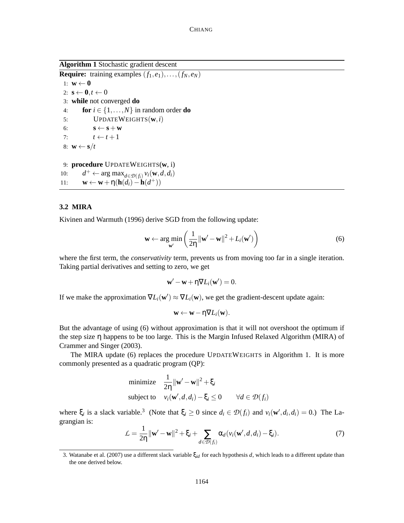**Algorithm 1** Stochastic gradient descent

**Require:** training examples  $(f_1, e_1), \ldots, (f_N, e_N)$ 1:  $\mathbf{w} \leftarrow \mathbf{0}$ 2:  $\mathbf{s} \leftarrow \mathbf{0}, t \leftarrow 0$ 3: **while** not converged **do** 4: **for**  $i \in \{1, ..., N\}$  in random order **do** 5: UPDATEWEIGHTS(**w**,*i*) 6:  $\mathbf{s} \leftarrow \mathbf{s} + \mathbf{w}$ 7:  $t \leftarrow t+1$ 8:  $\mathbf{w} \leftarrow \mathbf{s}/t$ 9: **procedure** UPDATEWEIGHTS(**w**, i) 10: *d*  $+$  ← arg max<sub>*d*∈*D*(*f*<sub>*i*</sub>)</sub>  $v_i$ (**w**,*d,d*<sub>*i*</sub>) 11:  $\mathbf{w} \leftarrow \mathbf{w} + \eta(\mathbf{h}(d_i) - \mathbf{h}(d^+))$ 

# **3.2 MIRA**

Kivinen and Warmuth (1996) derive SGD from the following update:

$$
\mathbf{w} \leftarrow \argmin_{\mathbf{w}'} \left( \frac{1}{2\eta} ||\mathbf{w}' - \mathbf{w}||^2 + L_i(\mathbf{w}') \right) \tag{6}
$$

where the first term, the *conservativity* term, prevents us from moving too far in a single iteration. Taking partial derivatives and setting to zero, we get

$$
\mathbf{w}' - \mathbf{w} + \eta \nabla L_i(\mathbf{w}') = 0.
$$

If we make the approximation  $\nabla L_i(\mathbf{w}') \approx \nabla L_i(\mathbf{w})$ , we get the gradient-descent update again:

$$
\mathbf{w} \leftarrow \mathbf{w} - \eta \nabla L_i(\mathbf{w}).
$$

But the advantage of using (6) without approximation is that it will not overshoot the optimum if the step size η happens to be too large. This is the Margin Infused Relaxed Algorithm (MIRA) of Crammer and Singer (2003).

The MIRA update (6) replaces the procedure UPDATEWEIGHTS in Algorithm 1. It is more commonly presented as a quadratic program (QP):

minimize 
$$
\frac{1}{2\eta} ||\mathbf{w}' - \mathbf{w}||^2 + \xi_i
$$
  
subject to  $v_i(\mathbf{w}', d, d_i) - \xi_i \le 0 \quad \forall d \in \mathcal{D}(f_i)$ 

where  $\xi_i$  is a slack variable.<sup>3</sup> (Note that  $\xi_i \ge 0$  since  $d_i \in \mathcal{D}(f_i)$  and  $v_i(\mathbf{w}', d_i, d_i) = 0$ .) The Lagrangian is:

$$
\mathcal{L} = \frac{1}{2\eta} \|\mathbf{w}' - \mathbf{w}\|^2 + \xi_i + \sum_{d \in \mathcal{D}(f_i)} \alpha_d(v_i(\mathbf{w}', d, d_i) - \xi_i). \tag{7}
$$

<sup>3.</sup> Watanabe et al. (2007) use a different slack variable ξ*id* for each hypothesis *d*, which leads to a different update than the one derived below.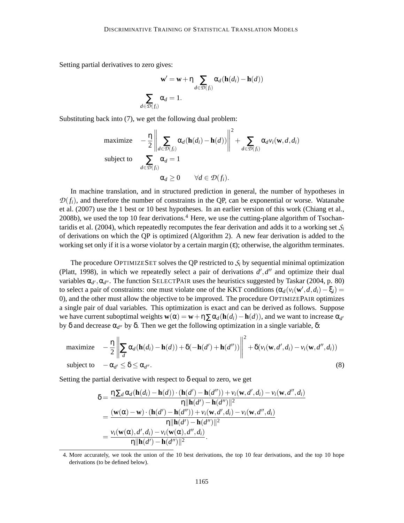Setting partial derivatives to zero gives:

$$
\mathbf{w}' = \mathbf{w} + \eta \sum_{d \in \mathcal{D}(f_i)} \alpha_d (\mathbf{h}(d_i) - \mathbf{h}(d))
$$

$$
\sum_{d \in \mathcal{D}(f_i)} \alpha_d = 1.
$$

Substituting back into (7), we get the following dual problem:

$$
\begin{array}{ll}\text{maximize} & -\frac{\eta}{2} \left\| \sum_{d \in \mathcal{D}(f_i)} \alpha_d (\mathbf{h}(d_i) - \mathbf{h}(d)) \right\|^2 + \sum_{d \in \mathcal{D}(f_i)} \alpha_d v_i(\mathbf{w}, d, d_i) \\ \text{subject to} & \sum_{d \in \mathcal{D}(f_i)} \alpha_d = 1 \\ & \alpha_d \geq 0 \qquad \forall d \in \mathcal{D}(f_i). \end{array}
$$

In machine translation, and in structured prediction in general, the number of hypotheses in  $\mathcal{D}(f_i)$ , and therefore the number of constraints in the QP, can be exponential or worse. Watanabe et al. (2007) use the 1 best or 10 best hypotheses. In an earlier version of this work (Chiang et al., 2008b), we used the top 10 fear derivations.<sup>4</sup> Here, we use the cutting-plane algorithm of Tsochantaridis et al. (2004), which repeatedly recomputes the fear derivation and adds it to a working set  $S_i$ of derivations on which the QP is optimized (Algorithm 2). A new fear derivation is added to the working set only if it is a worse violator by a certain margin  $(\epsilon)$ ; otherwise, the algorithm terminates.

The procedure OPTIMIZESET solves the QP restricted to  $S_i$  by sequential minimal optimization (Platt, 1998), in which we repeatedly select a pair of derivations  $d', d''$  and optimize their dual variables α<sub>d'</sub>, α<sub>d''</sub>. The function SELECTPAIR uses the heuristics suggested by Taskar (2004, p. 80) to select a pair of constraints: one must violate one of the KKT conditions  $(\alpha_d(v_i(\mathbf{w}',d,d_i)-\xi_i))$ 0), and the other must allow the objective to be improved. The procedure OPTIMIZEPAIR optimizes a single pair of dual variables. This optimization is exact and can be derived as follows. Suppose we have current suboptimal weights  $\mathbf{w}(\alpha) = \mathbf{w} + \eta \sum \alpha_d (\mathbf{h}(d_i) - \mathbf{h}(d))$ , and we want to increase  $\alpha_{d'}$ by δ and decrease  $\alpha_{d''}$  by δ. Then we get the following optimization in a single variable, δ:

maximize 
$$
-\frac{\eta}{2} \left\| \sum_{d} \alpha_d (\mathbf{h}(d_i) - \mathbf{h}(d)) + \delta(-\mathbf{h}(d') + \mathbf{h}(d'')) \right\|^2 + \delta(v_i(\mathbf{w}, d', d_i) - v_i(\mathbf{w}, d'', d_i))
$$
  
subject to 
$$
-\alpha_{d'} \leq \delta \leq \alpha_{d''}.
$$
 (8)

Setting the partial derivative with respect to  $\delta$  equal to zero, we get

$$
\delta = \frac{\eta \sum_{d} \alpha_{d}(\mathbf{h}(d_{i}) - \mathbf{h}(d)) \cdot (\mathbf{h}(d') - \mathbf{h}(d'')) + v_{i}(\mathbf{w}, d', d_{i}) - v_{i}(\mathbf{w}, d'', d_{i})}{\eta ||\mathbf{h}(d') - \mathbf{h}(d'')||^{2}}
$$
  
= 
$$
\frac{(\mathbf{w}(\alpha) - \mathbf{w}) \cdot (\mathbf{h}(d') - \mathbf{h}(d'')) + v_{i}(\mathbf{w}, d', d_{i}) - v_{i}(\mathbf{w}, d'', d_{i})}{\eta ||\mathbf{h}(d') - \mathbf{h}(d'')||^{2}}
$$
  
= 
$$
\frac{v_{i}(\mathbf{w}(\alpha), d', d_{i}) - v_{i}(\mathbf{w}(\alpha), d'', d_{i})}{\eta ||\mathbf{h}(d') - \mathbf{h}(d'')||^{2}}.
$$

<sup>4.</sup> More accurately, we took the union of the 10 best derivations, the top 10 fear derivations, and the top 10 hope derivations (to be defined below).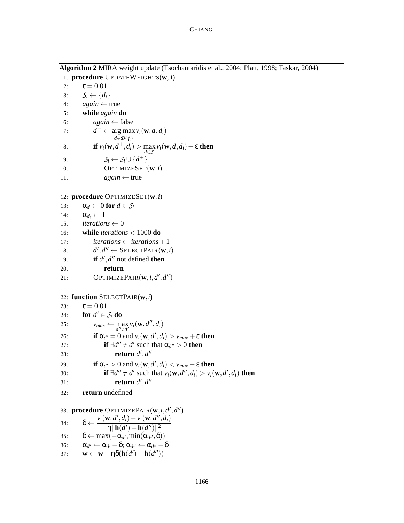**Algorithm 2** MIRA weight update (Tsochantaridis et al., 2004; Platt, 1998; Taskar, 2004)

1: **procedure** UPDATEWEIGHTS(**w**, i) 2:  $ε = 0.01$ 3:  $S_i \leftarrow \{d_i\}$ 4:  $again \leftarrow true$ 5: **while** *again* **do** 6:  $again \leftarrow false$ 7: *d*  $^+$   $\leftarrow$  arg max  $v_i(\mathbf{w}, d, d_i)$ *d*∈*D*(*fi*) 8: **if**  $v_i(\mathbf{w}, d^+, d_i) > \max_i v_i(\mathbf{w}, d, d_i) + \varepsilon$  then *d*∈*S<sup>i</sup>* 9:  $S_i \leftarrow S_i \cup \{d^+\}$ 10: OPTIMIZESET(**w**,*i*) 11:  $again \leftarrow true$ 12: **procedure** OPTIMIZESET(**w**,*i*) 13:  $\alpha_d \leftarrow 0$  for  $d \in S_i$ 14:  $\alpha_{d_i} \leftarrow 1$ 15:  $iterations \leftarrow 0$ 16: **while** *iterations* < 1000 **do** 17:  $\textit{iterations} \leftarrow \textit{iterations} + 1$ 18: *d*  $', d'' \leftarrow$  SELECTPAIR $(\mathbf{w}, i)$ 19: **if**  $d'$ ,  $d''$  not defined **then** 20: **return** 21: **OPTIMIZEPAIR** $(\mathbf{w}, i, d', d'')$ 22: **function** SELECTPAIR(**w**,*i*) 23:  $\epsilon = 0.01$ 24: **for**  $d' \in S_i$  **do** 25:  $v_{max} \leftarrow \max_{d'' \neq d'} v_i(\mathbf{w}, d'', d_i)$ 26: **if**  $\alpha_{d'} = 0$  and  $v_i(\mathbf{w}, d', d_i) > v_{max} + \varepsilon$  then 27: **if**  $\exists d'' \neq d'$  such that  $\alpha_{d''} > 0$  **then** 28: **return** *d* ′ ,*d* ′′ 29: **if**  $\alpha_{d'} > 0$  and  $v_i(\mathbf{w}, d', d_i) < v_{max} - \varepsilon$  then 30: **if**  $\exists d'' \neq d'$  such that  $v_i(\mathbf{w}, d'', d_i) > v_i(\mathbf{w}, d', d_i)$  then 31: **return**  $d', d''$ 32: **return** undefined 33: **procedure** OPTIMIZEPAIR(**w**,*i*,*d* ′ ,*d* ′′) 34:  $\delta \leftarrow \frac{v_i(\mathbf{w}, d', d_i) - v_i(\mathbf{w}, d'', d_i)}{\mathbf{w} \mathbf{u} \cdot (\mathbf{w}) - \mathbf{v}(\mathbf{w}, d'') \cdot \mathbf{v}(\mathbf{w})}$  $\eta \|\mathbf{h}(d') - \mathbf{h}(d'') \|^2$ 35:  $\delta \leftarrow \max(-\alpha_{d'}, \min(\alpha_{d''}, \delta))$ 36:  $\alpha_{d'} \leftarrow \alpha_{d'} + \delta; \, \alpha_{d''} \leftarrow \alpha_{d''} - \delta$ 37: **w** ← **w** − ηδ(**h**(*d'*) − **h**(*d''*))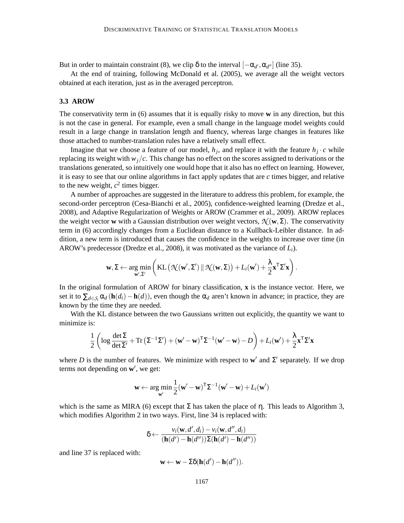But in order to maintain constraint (8), we clip  $\delta$  to the interval  $[-\alpha_{d'}, \alpha_{d''}]$  (line 35).

At the end of training, following McDonald et al. (2005), we average all the weight vectors obtained at each iteration, just as in the averaged perceptron.

#### **3.3 AROW**

The conservativity term in (6) assumes that it is equally risky to move **w** in any direction, but this is not the case in general. For example, even a small change in the language model weights could result in a large change in translation length and fluency, whereas large changes in features like those attached to number-translation rules have a relatively small effect.

Imagine that we choose a feature of our model,  $h_j$ , and replace it with the feature  $h_j \cdot c$  while replacing its weight with *wj*/*c*. This change has no effect on the scores assigned to derivations or the translations generated, so intuitively one would hope that it also has no effect on learning. However, it is easy to see that our online algorithms in fact apply updates that are *c* times bigger, and relative to the new weight,  $c^2$  times bigger.

A number of approaches are suggested in the literature to address this problem, for example, the second-order perceptron (Cesa-Bianchi et al., 2005), confidence-weighted learning (Dredze et al., 2008), and Adaptive Regularization of Weights or AROW (Crammer et al., 2009). AROW replaces the weight vector **w** with a Gaussian distribution over weight vectors,  $\mathcal{N}(\mathbf{w}, \Sigma)$ . The conservativity term in (6) accordingly changes from a Euclidean distance to a Kullback-Leibler distance. In addition, a new term is introduced that causes the confidence in the weights to increase over time (in AROW's predecessor (Dredze et al., 2008), it was motivated as the variance of *Li*).

$$
\mathbf{w}, \Sigma \leftarrow \underset{\mathbf{w}', \Sigma'}{\arg \min} \left( \mathrm{KL} \left( \mathcal{N}(\mathbf{w}', \Sigma') \, \| \, \mathcal{N}(\mathbf{w}, \Sigma) \right) + L_i(\mathbf{w}') + \frac{\lambda}{2} \mathbf{x}^\mathsf{T} \Sigma' \mathbf{x} \right).
$$

In the original formulation of AROW for binary classification, **x** is the instance vector. Here, we set it to  $\sum_{d \in S_i} \alpha_d (\mathbf{h}(d_i) - \mathbf{h}(d))$ , even though the  $\alpha_d$  aren't known in advance; in practice, they are known by the time they are needed.

With the KL distance between the two Gaussians written out explicitly, the quantity we want to minimize is:

$$
\frac{1}{2}\left(\log \frac{\det \Sigma}{\det \Sigma'} + \text{Tr}\left(\Sigma^{-1}\Sigma'\right) + (\mathbf{w}' - \mathbf{w})^{\text{T}}\Sigma^{-1}(\mathbf{w}' - \mathbf{w}) - D\right) + L_i(\mathbf{w}') + \frac{\lambda}{2}\mathbf{x}^{\text{T}}\Sigma'\mathbf{x}
$$

where *D* is the number of features. We minimize with respect to  $w'$  and  $\Sigma'$  separately. If we drop terms not depending on **w** ′ , we get:

$$
\mathbf{w} \leftarrow \argmin_{\mathbf{w}'} \frac{1}{2} (\mathbf{w}' - \mathbf{w})^{\mathsf{T}} \Sigma^{-1} (\mathbf{w}' - \mathbf{w}) + L_i(\mathbf{w}')
$$

which is the same as MIRA (6) except that  $\Sigma$  has taken the place of  $\eta$ . This leads to Algorithm 3, which modifies Algorithm 2 in two ways. First, line 34 is replaced with:

$$
\delta \leftarrow \frac{v_i(\mathbf{w}, d', d_i) - v_i(\mathbf{w}, d'', d_i)}{(\mathbf{h}(d') - \mathbf{h}(d''))\Sigma(\mathbf{h}(d') - \mathbf{h}(d''))}
$$

and line 37 is replaced with:

$$
\mathbf{w} \leftarrow \mathbf{w} - \Sigma \delta(\mathbf{h}(d') - \mathbf{h}(d'')).
$$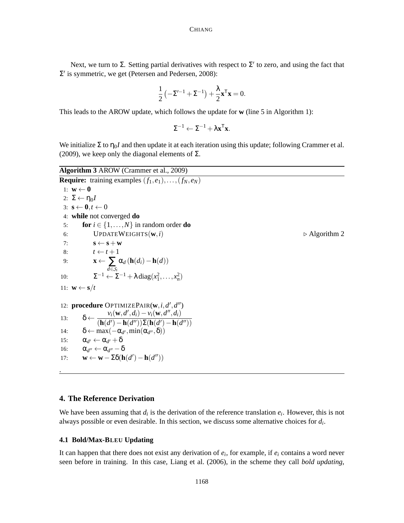Next, we turn to  $\Sigma$ . Setting partial derivatives with respect to  $\Sigma'$  to zero, and using the fact that  $\Sigma'$  is symmetric, we get (Petersen and Pedersen, 2008):

$$
\frac{1}{2}\left(-\boldsymbol{\Sigma}'^{-1}+\boldsymbol{\Sigma}^{-1}\right)+\frac{\lambda}{2}\mathbf{x}^T\mathbf{x}=0.
$$

This leads to the AROW update, which follows the update for **w** (line 5 in Algorithm 1):

 $\Sigma^{-1} \leftarrow \Sigma^{-1} + \lambda \mathbf{x}^{\mathsf{T}} \mathbf{x}.$ 

We initialize  $\Sigma$  to  $\eta_0I$  and then update it at each iteration using this update; following Crammer et al. (2009), we keep only the diagonal elements of  $\Sigma$ .

**Algorithm 3** AROW (Crammer et al., 2009) **Require:** training examples  $(f_1, e_1), \ldots, (f_N, e_N)$ 1:  $\mathbf{w} \leftarrow \mathbf{0}$ 2:  $\Sigma \leftarrow \eta_0 I$ 3:  $\mathbf{s} \leftarrow \mathbf{0}, t \leftarrow 0$ 4: **while** not converged **do** 5: **for**  $i \in \{1, ..., N\}$  in random order **do** 6: UPDATEWEIGHTS $(\mathbf{w}, i)$  ⇒ Algorithm 2 7: **s**  $\leftarrow$  **s** + **w** 8:  $t \leftarrow t+1$ 9:  $\mathbf{x} \leftarrow \sum_{d \in \mathcal{S}_i}$  $\alpha_d$  (**h**( $d_i$ ) − **h**( $d$ )) 10:  $\Sigma^{-1} \leftarrow \Sigma^{-1} + \lambda \operatorname{diag}(x_1^2, ..., x_n^2)$ 11:  $\mathbf{w} \leftarrow \mathbf{s}/t$ 12: **procedure** OPTIMIZEPAIR( $w$ ,*i*, $d'$ , $d''$ ) 13:  $\delta \leftarrow \frac{v_i(\mathbf{w}, d', d_i) - v_i(\mathbf{w}, d'', d_i)}{(1 - \mu_i)(1 - \mu_i)(1 - \mu_i)(1 - \mu_i)}$  $(\mathbf{h}(d') - \mathbf{h}(d''))\Sigma(\mathbf{h}(d') - \mathbf{h}(d''))$ 14:  $\delta \leftarrow \max(-\alpha_{d'}, \min(\alpha_{d''}, \delta))$ 15: α*<sup>d</sup>*  $\gamma \leftarrow \alpha_{d'} + \delta$ 16:  $\alpha_{d''} \leftarrow \alpha_{d''} - \delta$ 17: **w** ← **w** −  $\Sigma \delta(\mathbf{h}(d') - \mathbf{h}(d''))$ .

#### **4. The Reference Derivation**

We have been assuming that  $d_i$  is the derivation of the reference translation  $e_i$ . However, this is not always possible or even desirable. In this section, we discuss some alternative choices for *d<sup>i</sup>* .

## **4.1 Bold/Max-BLEU Updating**

It can happen that there does not exist any derivation of *e<sup>i</sup>* , for example, if *e<sup>i</sup>* contains a word never seen before in training. In this case, Liang et al. (2006), in the scheme they call *bold updating*,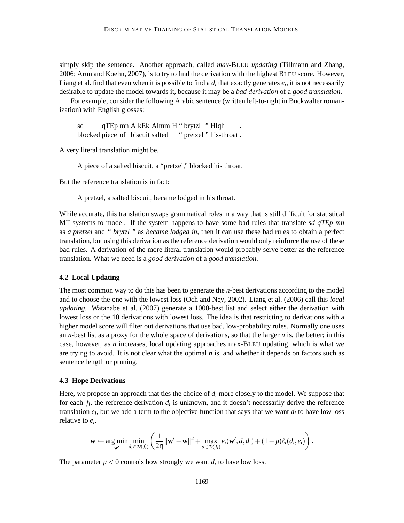simply skip the sentence. Another approach, called *max-*BLEU *updating* (Tillmann and Zhang, 2006; Arun and Koehn, 2007), is to try to find the derivation with the highest BLEU score. However, Liang et al. find that even when it is possible to find a  $d_i$  that exactly generates  $e_i$ , it is not necessarily desirable to update the model towards it, because it may be a *bad derivation* of a *good translation*.

For example, consider the following Arabic sentence (written left-to-right in Buckwalter romanization) with English glosses:

sd blocked piece of biscuit salted qTEp mn AlkEk AlmmlH " brytzl " Hlqh " pretzel " his-throat . .

A very literal translation might be,

A piece of a salted biscuit, a "pretzel," blocked his throat.

But the reference translation is in fact:

A pretzel, a salted biscuit, became lodged in his throat.

While accurate, this translation swaps grammatical roles in a way that is still difficult for statistical MT systems to model. If the system happens to have some bad rules that translate *sd qTEp mn* as *a pretzel* and *" brytzl "* as *became lodged in*, then it can use these bad rules to obtain a perfect translation, but using this derivation as the reference derivation would only reinforce the use of these bad rules. A derivation of the more literal translation would probably serve better as the reference translation. What we need is a *good derivation* of a *good translation*.

#### **4.2 Local Updating**

The most common way to do this has been to generate the *n*-best derivations according to the model and to choose the one with the lowest loss (Och and Ney, 2002). Liang et al. (2006) call this *local updating*. Watanabe et al. (2007) generate a 1000-best list and select either the derivation with lowest loss or the 10 derivations with lowest loss. The idea is that restricting to derivations with a higher model score will filter out derivations that use bad, low-probability rules. Normally one uses an *n*-best list as a proxy for the whole space of derivations, so that the larger *n* is, the better; in this case, however, as *n* increases, local updating approaches max-BLEU updating, which is what we are trying to avoid. It is not clear what the optimal  $n$  is, and whether it depends on factors such as sentence length or pruning.

#### **4.3 Hope Derivations**

Here, we propose an approach that ties the choice of *d<sup>i</sup>* more closely to the model. We suppose that for each  $f_i$ , the reference derivation  $d_i$  is unknown, and it doesn't necessarily derive the reference translation  $e_i$ , but we add a term to the objective function that says that we want  $d_i$  to have low loss relative to *e<sup>i</sup>* .

$$
\mathbf{w} \leftarrow \argmin_{\mathbf{w}'} \min_{d_i \in \mathcal{D}(f_i)} \left( \frac{1}{2\eta} ||\mathbf{w}' - \mathbf{w}||^2 + \max_{d \in \mathcal{D}(f_i)} v_i(\mathbf{w}', d, d_i) + (1 - \mu)\ell_i(d_i, e_i) \right).
$$

The parameter  $\mu < 0$  controls how strongly we want  $d_i$  to have low loss.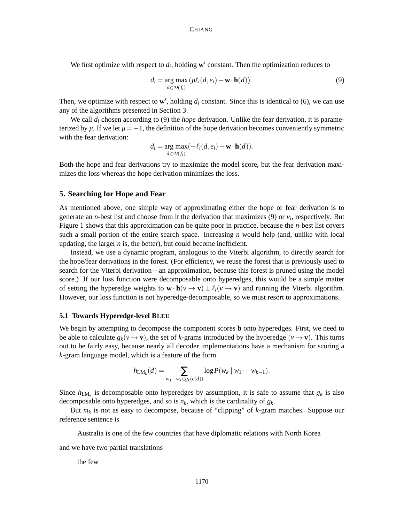We first optimize with respect to  $d_i$ , holding  $\mathbf{w}'$  constant. Then the optimization reduces to

$$
d_i = \underset{d \in \mathcal{D}(f_i)}{\arg \max} (\mu \ell_i(d, e_i) + \mathbf{w} \cdot \mathbf{h}(d)). \tag{9}
$$

Then, we optimize with respect to  $w'$ , holding  $d_i$  constant. Since this is identical to (6), we can use any of the algorithms presented in Section 3.

We call *d<sup>i</sup>* chosen according to (9) the *hope* derivation. Unlike the fear derivation, it is parameterized by  $\mu$ . If we let  $\mu = -1$ , the definition of the hope derivation becomes conveniently symmetric with the fear derivation:

$$
d_i = \underset{d \in \mathcal{D}(f_i)}{\arg \max} (-\ell_i(d, e_i) + \mathbf{w} \cdot \mathbf{h}(d)).
$$

Both the hope and fear derivations try to maximize the model score, but the fear derivation maximizes the loss whereas the hope derivation minimizes the loss.

#### **5. Searching for Hope and Fear**

As mentioned above, one simple way of approximating either the hope or fear derivation is to generate an *n*-best list and choose from it the derivation that maximizes (9) or  $v_i$ , respectively. But Figure 1 shows that this approximation can be quite poor in practice, because the *n*-best list covers such a small portion of the entire search space. Increasing *n* would help (and, unlike with local updating, the larger  $n$  is, the better), but could become inefficient.

Instead, we use a dynamic program, analogous to the Viterbi algorithm, to directly search for the hope/fear derivations in the forest. (For efficiency, we reuse the forest that is previously used to search for the Viterbi derivation—an approximation, because this forest is pruned using the model score.) If our loss function were decomposable onto hyperedges, this would be a simple matter of setting the hyperedge weights to  $\mathbf{w} \cdot \mathbf{h}(\mathbf{v} \to \mathbf{v}) \pm \ell_i(\mathbf{v} \to \mathbf{v})$  and running the Viterbi algorithm. However, our loss function is not hyperedge-decomposable, so we must resort to approximations.

## **5.1 Towards Hyperedge-level BLEU**

We begin by attempting to decompose the component scores **b** onto hyperedges. First, we need to be able to calculate  $g_k(v \to v)$ , the set of *k*-grams introduced by the hyperedge  $(v \to v)$ . This turns out to be fairly easy, because nearly all decoder implementations have a mechanism for scoring a *k*-gram language model, which is a feature of the form

$$
h_{LM_k}(d)=\sum_{w_1\cdots w_k\in g_k(e(d))}\log P(w_k\mid w_1\cdots w_{k-1}).
$$

Since  $h_{LM_k}$  is decomposable onto hyperedges by assumption, it is safe to assume that  $g_k$  is also decomposable onto hyperedges, and so is *nk*, which is the cardinality of *gk*.

But *m<sup>k</sup>* is not as easy to decompose, because of "clipping" of *k*-gram matches. Suppose our reference sentence is

Australia is one of the few countries that have diplomatic relations with North Korea

and we have two partial translations

the few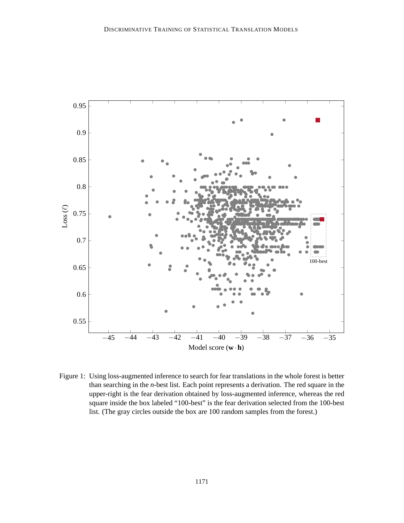

Figure 1: Using loss-augmented inference to search for fear translations in the whole forest is better than searching in the *n*-best list. Each point represents a derivation. The red square in the upper-right is the fear derivation obtained by loss-augmented inference, whereas the red square inside the box labeled "100-best" is the fear derivation selected from the 100-best list. (The gray circles outside the box are 100 random samples from the forest.)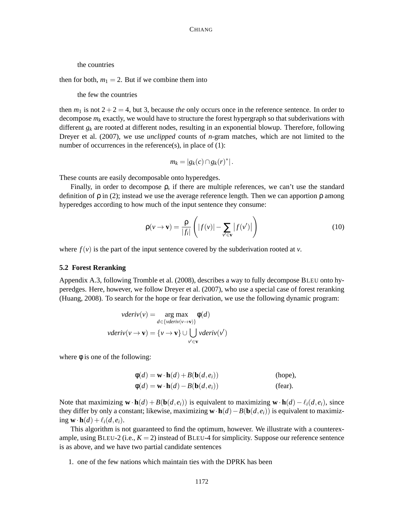the countries

then for both,  $m_1 = 2$ . But if we combine them into

the few the countries

then  $m_1$  is not  $2+2=4$ , but 3, because *the* only occurs once in the reference sentence. In order to decompose  $m_k$  exactly, we would have to structure the forest hypergraph so that subderivations with different  $g_k$  are rooted at different nodes, resulting in an exponential blowup. Therefore, following Dreyer et al. (2007), we use *unclipped* counts of *n*-gram matches, which are not limited to the number of occurrences in the reference $(s)$ , in place of  $(1)$ :

$$
m_k = |g_k(c) \cap g_k(r)^*|.
$$

These counts are easily decomposable onto hyperedges.

Finally, in order to decompose ρ, if there are multiple references, we can't use the standard definition of  $\rho$  in (2); instead we use the average reference length. Then we can apportion  $\rho$  among hyperedges according to how much of the input sentence they consume:

$$
\rho(\nu \to \mathbf{v}) = \frac{\rho}{|f_i|} \left( |f(\nu)| - \sum_{\nu' \in \mathbf{v}} |f(\nu')| \right) \tag{10}
$$

where  $f(v)$  is the part of the input sentence covered by the subderivation rooted at *v*.

#### **5.2 Forest Reranking**

Appendix A.3, following Tromble et al. (2008), describes a way to fully decompose BLEU onto hyperedges. Here, however, we follow Dreyer et al. (2007), who use a special case of forest reranking (Huang, 2008). To search for the hope or fear derivation, we use the following dynamic program:

$$
vderiv(v) = \underset{d \in \{vderiv(v \to v)\}}{\arg \max} \phi(d)
$$

$$
vderiv(v \to v) = \{v \to v\} \cup \bigcup_{v' \in v} vderiv(v')
$$

where  $\phi$  is one of the following:

$$
\phi(d) = \mathbf{w} \cdot \mathbf{h}(d) + B(\mathbf{b}(d, e_i))
$$
 (hope),  
\n
$$
\phi(d) = \mathbf{w} \cdot \mathbf{h}(d) - B(\mathbf{b}(d, e_i))
$$
 (fear).

Note that maximizing  $\mathbf{w} \cdot \mathbf{h}(d) + B(\mathbf{b}(d, e_i))$  is equivalent to maximizing  $\mathbf{w} \cdot \mathbf{h}(d) - \ell_i(d, e_i)$ , since they differ by only a constant; likewise, maximizing  $\mathbf{w} \cdot \mathbf{h}(d) - B(\mathbf{b}(d, e_i))$  is equivalent to maximizing  $\mathbf{w} \cdot \mathbf{h}(d) + \ell_i(d, e_i)$ .

This algorithm is not guaranteed to find the optimum, however. We illustrate with a counterexample, using  $BLEU-2$  (i.e.,  $K = 2$ ) instead of  $BLEU-4$  for simplicity. Suppose our reference sentence is as above, and we have two partial candidate sentences

1. one of the few nations which maintain ties with the DPRK has been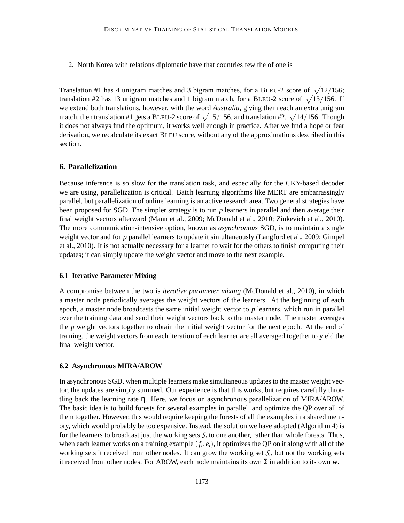2. North Korea with relations diplomatic have that countries few the of one is

Translation #1 has 4 unigram matches and 3 bigram matches, for a BLEU-2 score of  $\sqrt{12/156}$ ; translation #2 has 13 unigram matches and 1 bigram match, for a BLEU-2 score of  $\sqrt{13/156}$ . If we extend both translations, however, with the word *Australia*, giving them each an extra unigram match, then translation #1 gets a BLEU-2 score of  $\sqrt{15/156}$ , and translation #2,  $\sqrt{14/156}$ . Though it does not always find the optimum, it works well enough in practice. After we find a hope or fear derivation, we recalculate its exact BLEU score, without any of the approximations described in this section.

## **6. Parallelization**

Because inference is so slow for the translation task, and especially for the CKY-based decoder we are using, parallelization is critical. Batch learning algorithms like MERT are embarrassingly parallel, but parallelization of online learning is an active research area. Two general strategies have been proposed for SGD. The simpler strategy is to run *p* learners in parallel and then average their final weight vectors afterward (Mann et al., 2009; McDonald et al., 2010; Zinkevich et al., 2010). The more communication-intensive option, known as *asynchronous* SGD, is to maintain a single weight vector and for *p* parallel learners to update it simultaneously (Langford et al., 2009; Gimpel et al., 2010). It is not actually necessary for a learner to wait for the others to finish computing their updates; it can simply update the weight vector and move to the next example.

#### **6.1 Iterative Parameter Mixing**

A compromise between the two is *iterative parameter mixing* (McDonald et al., 2010), in which a master node periodically averages the weight vectors of the learners. At the beginning of each epoch, a master node broadcasts the same initial weight vector to *p* learners, which run in parallel over the training data and send their weight vectors back to the master node. The master averages the *p* weight vectors together to obtain the initial weight vector for the next epoch. At the end of training, the weight vectors from each iteration of each learner are all averaged together to yield the final weight vector.

#### **6.2 Asynchronous MIRA/AROW**

In asynchronous SGD, when multiple learners make simultaneous updates to the master weight vector, the updates are simply summed. Our experience is that this works, but requires carefully throttling back the learning rate η. Here, we focus on asynchronous parallelization of MIRA/AROW. The basic idea is to build forests for several examples in parallel, and optimize the QP over all of them together. However, this would require keeping the forests of all the examples in a shared memory, which would probably be too expensive. Instead, the solution we have adopted (Algorithm 4) is for the learners to broadcast just the working sets  $S_i$  to one another, rather than whole forests. Thus, when each learner works on a training example  $(f_i, e_i)$ , it optimizes the QP on it along with all of the working sets it received from other nodes. It can grow the working set  $S_i$ , but not the working sets it received from other nodes. For AROW, each node maintains its own  $\Sigma$  in addition to its own **w**.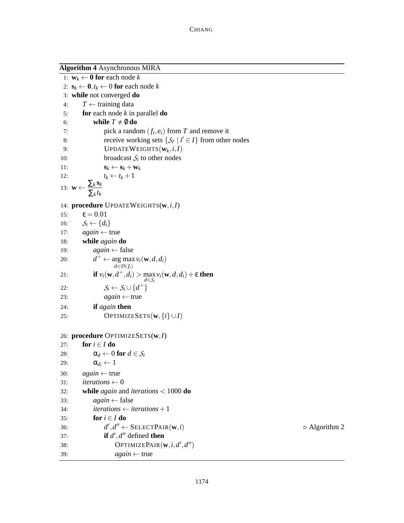|     | <b>Algorithm 4 Asynchronous MIRA</b>                                                                |                              |
|-----|-----------------------------------------------------------------------------------------------------|------------------------------|
|     | 1: $\mathbf{w}_k \leftarrow \mathbf{0}$ for each node k                                             |                              |
|     | 2: $\mathbf{s}_k \leftarrow \mathbf{0}, t_k \leftarrow 0$ for each node k                           |                              |
|     | 3: while not converged do                                                                           |                              |
| 4:  | $T \leftarrow$ training data                                                                        |                              |
| 5:  | for each node $k$ in parallel <b>do</b>                                                             |                              |
| 6:  | while $T \neq \emptyset$ do                                                                         |                              |
| 7:  | pick a random $(f_i, e_i)$ from T and remove it                                                     |                              |
| 8:  | receive working sets $\{S_{i'}   i' \in I\}$ from other nodes                                       |                              |
| 9:  | UPDATEWEIGHTS $(\mathbf{w}_k, i, I)$                                                                |                              |
| 10: | broadcast $S_i$ to other nodes                                                                      |                              |
| 11: | $\mathbf{s}_k \leftarrow \mathbf{s}_k + \mathbf{w}_k$                                               |                              |
| 12: | $t_k \leftarrow t_k + 1$                                                                            |                              |
|     | 13: $\mathbf{w} \leftarrow \frac{\sum_k \mathbf{s}_k}{\sum_k t_k}$                                  |                              |
|     |                                                                                                     |                              |
|     | 14: procedure UPDATEWEIGHTS $(w, i, I)$                                                             |                              |
| 15: | $\epsilon = 0.01$                                                                                   |                              |
| 16: | $S_i \leftarrow \{d_i\}$                                                                            |                              |
| 17: | $again \leftarrow true$                                                                             |                              |
| 18: | while again do                                                                                      |                              |
| 19: | $again \leftarrow false$                                                                            |                              |
| 20: | $d^+ \leftarrow \arg \max v_i(\mathbf{w}, d, d_i)$<br>$d \in \mathcal{D}(f_i)$                      |                              |
| 21: | <b>if</b> $v_i(\mathbf{w}, d^+, d_i) > \max_{d \in S_i} v_i(\mathbf{w}, d, d_i) + \varepsilon$ then |                              |
| 22: | $S_i \leftarrow S_i \cup \{d^+\}\$                                                                  |                              |
| 23: | $again \leftarrow true$                                                                             |                              |
| 24: | if again then                                                                                       |                              |
| 25: | OPTIMIZESETS $(\mathbf{w}, \{i\} \cup I)$                                                           |                              |
|     | 26: procedure OPTIMIZESETS(w, I)                                                                    |                              |
| 27: | for $i \in I$ do                                                                                    |                              |
| 28: | $\alpha_d \leftarrow 0$ for $d \in \mathcal{S}_i$                                                   |                              |
| 29: | $\alpha_{d_i} \leftarrow 1$                                                                         |                              |
| 30: | $again \leftarrow true$                                                                             |                              |
| 31: | iterations $\leftarrow 0$                                                                           |                              |
| 32: | while <i>again</i> and <i>iterations</i> $<$ 1000 do                                                |                              |
| 33: | $again \leftarrow false$                                                                            |                              |
| 34: | <i>iterations</i> $\leftarrow$ <i>iterations</i> + 1                                                |                              |
| 35: | for $i \in I$ do                                                                                    |                              |
| 36: | $d', d'' \leftarrow \text{SELECTPAIR}(\mathbf{w}, i)$                                               | $\triangleright$ Algorithm 2 |
| 37: | if $d', d''$ defined then                                                                           |                              |
| 38: | OPTIMIZEPAIR $(\mathbf{w}, i, d', d'')$                                                             |                              |
| 39: | $again \leftarrow true$                                                                             |                              |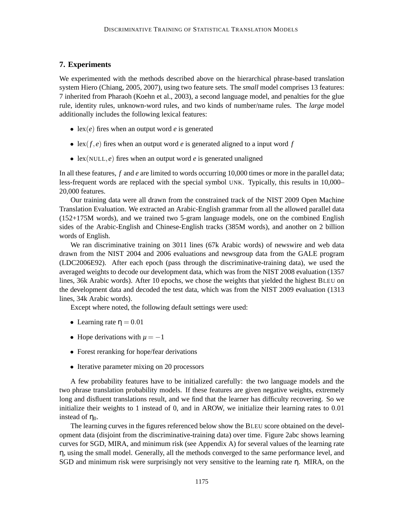## **7. Experiments**

We experimented with the methods described above on the hierarchical phrase-based translation system Hiero (Chiang, 2005, 2007), using two feature sets. The *small* model comprises 13 features: 7 inherited from Pharaoh (Koehn et al., 2003), a second language model, and penalties for the glue rule, identity rules, unknown-word rules, and two kinds of number/name rules. The *large* model additionally includes the following lexical features:

- lex(*e*) fires when an output word *e* is generated
- lex $(f, e)$  fires when an output word *e* is generated aligned to a input word *f*
- lex(NULL, *e*) fires when an output word *e* is generated unaligned

In all these features, *f* and *e* are limited to words occurring 10,000 times or more in the parallel data; less-frequent words are replaced with the special symbol UNK. Typically, this results in 10,000– 20,000 features.

Our training data were all drawn from the constrained track of the NIST 2009 Open Machine Translation Evaluation. We extracted an Arabic-English grammar from all the allowed parallel data (152+175M words), and we trained two 5-gram language models, one on the combined English sides of the Arabic-English and Chinese-English tracks (385M words), and another on 2 billion words of English.

We ran discriminative training on 3011 lines (67k Arabic words) of newswire and web data drawn from the NIST 2004 and 2006 evaluations and newsgroup data from the GALE program (LDC2006E92). After each epoch (pass through the discriminative-training data), we used the averaged weights to decode our development data, which was from the NIST 2008 evaluation (1357 lines, 36k Arabic words). After 10 epochs, we chose the weights that yielded the highest BLEU on the development data and decoded the test data, which was from the NIST 2009 evaluation (1313 lines, 34k Arabic words).

Except where noted, the following default settings were used:

- Learning rate  $\eta = 0.01$
- Hope derivations with  $\mu = -1$
- Forest reranking for hope/fear derivations
- Iterative parameter mixing on 20 processors

A few probability features have to be initialized carefully: the two language models and the two phrase translation probability models. If these features are given negative weights, extremely long and disfluent translations result, and we find that the learner has difficulty recovering. So we initialize their weights to 1 instead of 0, and in AROW, we initialize their learning rates to 0.01 instead of  $\eta_0$ .

The learning curves in the figures referenced below show the BLEU score obtained on the development data (disjoint from the discriminative-training data) over time. Figure 2abc shows learning curves for SGD, MIRA, and minimum risk (see Appendix A) for several values of the learning rate η, using the small model. Generally, all the methods converged to the same performance level, and SGD and minimum risk were surprisingly not very sensitive to the learning rate η. MIRA, on the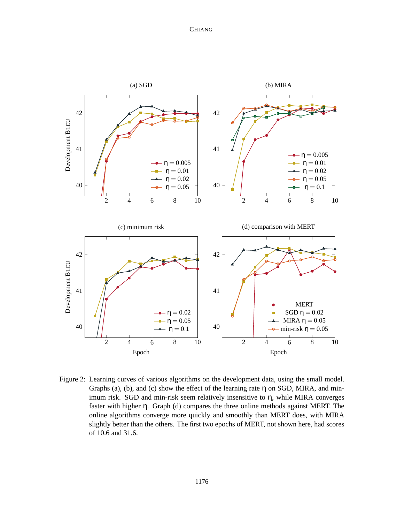## CHIANG



Figure 2: Learning curves of various algorithms on the development data, using the small model. Graphs (a), (b), and (c) show the effect of the learning rate  $\eta$  on SGD, MIRA, and minimum risk. SGD and min-risk seem relatively insensitive to η, while MIRA converges faster with higher η. Graph (d) compares the three online methods against MERT. The online algorithms converge more quickly and smoothly than MERT does, with MIRA slightly better than the others. The first two epochs of MERT, not shown here, had scores of 10.6 and 31.6.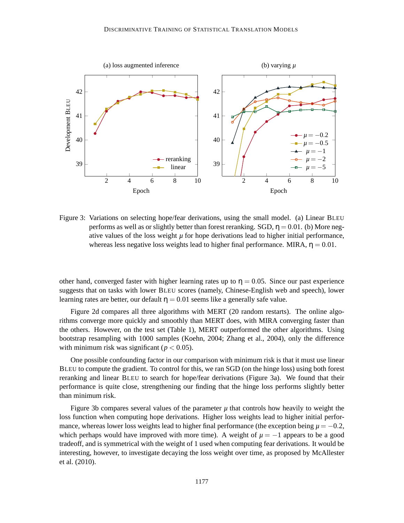

Figure 3: Variations on selecting hope/fear derivations, using the small model. (a) Linear BLEU performs as well as or slightly better than forest reranking. SGD,  $\eta = 0.01$ . (b) More negative values of the loss weight  $\mu$  for hope derivations lead to higher initial performance, whereas less negative loss weights lead to higher final performance. MIRA,  $\eta = 0.01$ .

other hand, converged faster with higher learning rates up to  $\eta = 0.05$ . Since our past experience suggests that on tasks with lower BLEU scores (namely, Chinese-English web and speech), lower learning rates are better, our default  $\eta = 0.01$  seems like a generally safe value.

Figure 2d compares all three algorithms with MERT (20 random restarts). The online algorithms converge more quickly and smoothly than MERT does, with MIRA converging faster than the others. However, on the test set (Table 1), MERT outperformed the other algorithms. Using bootstrap resampling with 1000 samples (Koehn, 2004; Zhang et al., 2004), only the difference with minimum risk was significant ( $p < 0.05$ ).

One possible confounding factor in our comparison with minimum risk is that it must use linear BLEU to compute the gradient. To control for this, we ran SGD (on the hinge loss) using both forest reranking and linear BLEU to search for hope/fear derivations (Figure 3a). We found that their performance is quite close, strengthening our finding that the hinge loss performs slightly better than minimum risk.

Figure 3b compares several values of the parameter  $\mu$  that controls how heavily to weight the loss function when computing hope derivations. Higher loss weights lead to higher initial performance, whereas lower loss weights lead to higher final performance (the exception being  $\mu = -0.2$ , which perhaps would have improved with more time). A weight of  $\mu = -1$  appears to be a good tradeoff, and is symmetrical with the weight of 1 used when computing fear derivations. It would be interesting, however, to investigate decaying the loss weight over time, as proposed by McAllester et al. (2010).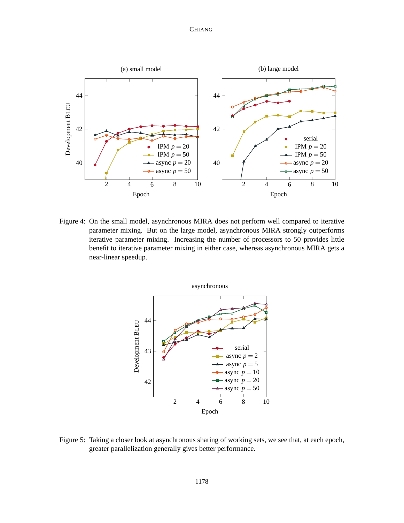## **CHIANG**



Figure 4: On the small model, asynchronous MIRA does not perform well compared to iterative parameter mixing. But on the large model, asynchronous MIRA strongly outperforms iterative parameter mixing. Increasing the number of processors to 50 provides little benefit to iterative parameter mixing in either case, whereas asynchronous MIRA gets a near-linear speedup.



Figure 5: Taking a closer look at asynchronous sharing of working sets, we see that, at each epoch, greater parallelization generally gives better performance.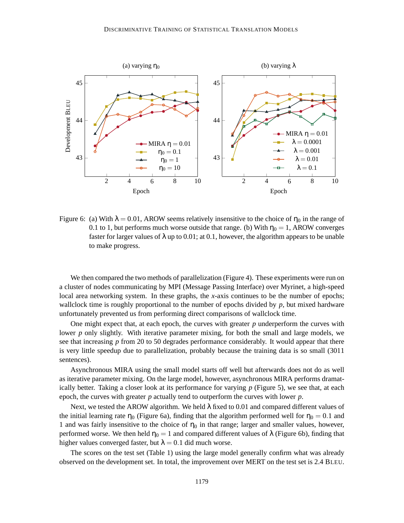

Figure 6: (a) With  $\lambda = 0.01$ , AROW seems relatively insensitive to the choice of  $\eta_0$  in the range of 0.1 to 1, but performs much worse outside that range. (b) With  $\eta_0 = 1$ , AROW converges faster for larger values of  $\lambda$  up to 0.01; at 0.1, however, the algorithm appears to be unable to make progress.

We then compared the two methods of parallelization (Figure 4). These experiments were run on a cluster of nodes communicating by MPI (Message Passing Interface) over Myrinet, a high-speed local area networking system. In these graphs, the *x*-axis continues to be the number of epochs; wallclock time is roughly proportional to the number of epochs divided by *p*, but mixed hardware unfortunately prevented us from performing direct comparisons of wallclock time.

One might expect that, at each epoch, the curves with greater *p* underperform the curves with lower *p* only slightly. With iterative parameter mixing, for both the small and large models, we see that increasing *p* from 20 to 50 degrades performance considerably. It would appear that there is very little speedup due to parallelization, probably because the training data is so small (3011 sentences).

Asynchronous MIRA using the small model starts off well but afterwards does not do as well as iterative parameter mixing. On the large model, however, asynchronous MIRA performs dramatically better. Taking a closer look at its performance for varying *p* (Figure 5), we see that, at each epoch, the curves with greater *p* actually tend to outperform the curves with lower *p*.

Next, we tested the AROW algorithm. We held  $\lambda$  fixed to 0.01 and compared different values of the initial learning rate  $\eta_0$  (Figure 6a), finding that the algorithm performed well for  $\eta_0 = 0.1$  and 1 and was fairly insensitive to the choice of  $\eta_0$  in that range; larger and smaller values, however, performed worse. We then held  $\eta_0 = 1$  and compared different values of  $\lambda$  (Figure 6b), finding that higher values converged faster, but  $\lambda = 0.1$  did much worse.

The scores on the test set (Table 1) using the large model generally confirm what was already observed on the development set. In total, the improvement over MERT on the test set is 2.4 BLEU.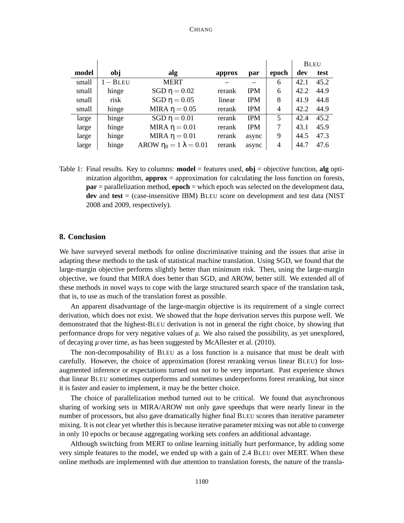#### CHIANG

|       |            |                                  |        |            |                | <b>BLEU</b> |      |
|-------|------------|----------------------------------|--------|------------|----------------|-------------|------|
| model | obj        | alg                              | approx | par        | epoch          | dev         | test |
| small | $1 - BLEU$ | <b>MERT</b>                      |        |            | 6              | 42.1        | 45.2 |
| small | hinge      | SGD $\eta = 0.02$                | rerank | <b>IPM</b> | 6              | 42.2        | 44.9 |
| small | risk       | SGD $\eta = 0.05$                | linear | <b>IPM</b> | 8              | 41.9        | 44.8 |
| small | hinge      | MIRA $\eta = 0.05$               | rerank | <b>IPM</b> | $\overline{4}$ | 42.2        | 44.9 |
| large | hinge      | SGD $\eta = 0.01$                | rerank | <b>IPM</b> | 5              | 42.4        | 45.2 |
| large | hinge      | MIRA $\eta = 0.01$               | rerank | <b>IPM</b> | 7              | 43.1        | 45.9 |
| large | hinge      | MIRA $\eta = 0.01$               | rerank | async      | 9              | 44.5        | 47.3 |
| large | hinge      | AROW $\eta_0 = 1 \lambda = 0.01$ | rerank | async      | $\overline{4}$ | 44.7        | 47.6 |

Table 1: Final results. Key to columns: **model** = features used, **obj** = objective function, **alg** optimization algorithm, **approx** = approximation for calculating the loss function on forests, **par** = parallelization method, **epoch** = which epoch was selected on the development data, **dev** and **test** = (case-insensitive IBM) BLEU score on development and test data (NIST 2008 and 2009, respectively).

## **8. Conclusion**

We have surveyed several methods for online discriminative training and the issues that arise in adapting these methods to the task of statistical machine translation. Using SGD, we found that the large-margin objective performs slightly better than minimum risk. Then, using the large-margin objective, we found that MIRA does better than SGD, and AROW, better still. We extended all of these methods in novel ways to cope with the large structured search space of the translation task, that is, to use as much of the translation forest as possible.

An apparent disadvantage of the large-margin objective is its requirement of a single correct derivation, which does not exist. We showed that the *hope* derivation serves this purpose well. We demonstrated that the highest-BLEU derivation is not in general the right choice, by showing that performance drops for very negative values of *µ*. We also raised the possibility, as yet unexplored, of decaying *µ* over time, as has been suggested by McAllester et al. (2010).

The non-decomposability of BLEU as a loss function is a nuisance that must be dealt with carefully. However, the choice of approximation (forest reranking versus linear BLEU) for lossaugmented inference or expectations turned out not to be very important. Past experience shows that linear BLEU sometimes outperforms and sometimes underperforms forest reranking, but since it is faster and easier to implement, it may be the better choice.

The choice of parallelization method turned out to be critical. We found that asynchronous sharing of working sets in MIRA/AROW not only gave speedups that were nearly linear in the number of processors, but also gave dramatically higher final BLEU scores than iterative parameter mixing. It is not clear yet whether this is because iterative parameter mixing was not able to converge in only 10 epochs or because aggregating working sets confers an additional advantage.

Although switching from MERT to online learning initially hurt performance, by adding some very simple features to the model, we ended up with a gain of 2.4 BLEU over MERT. When these online methods are implemented with due attention to translation forests, the nature of the transla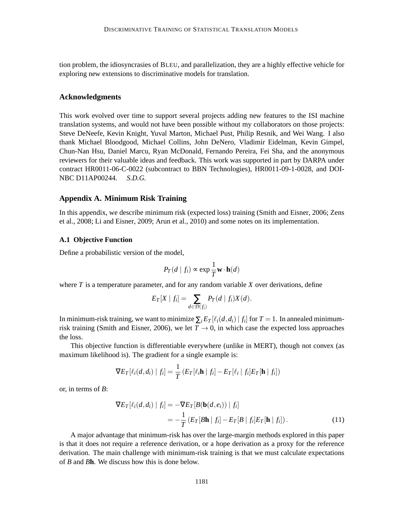tion problem, the idiosyncrasies of BLEU, and parallelization, they are a highly effective vehicle for exploring new extensions to discriminative models for translation.

## **Acknowledgments**

This work evolved over time to support several projects adding new features to the ISI machine translation systems, and would not have been possible without my collaborators on those projects: Steve DeNeefe, Kevin Knight, Yuval Marton, Michael Pust, Philip Resnik, and Wei Wang. I also thank Michael Bloodgood, Michael Collins, John DeNero, Vladimir Eidelman, Kevin Gimpel, Chun-Nan Hsu, Daniel Marcu, Ryan McDonald, Fernando Pereira, Fei Sha, and the anonymous reviewers for their valuable ideas and feedback. This work was supported in part by DARPA under contract HR0011-06-C-0022 (subcontract to BBN Technologies), HR0011-09-1-0028, and DOI-NBC D11AP00244. *S.D.G.*

#### **Appendix A. Minimum Risk Training**

In this appendix, we describe minimum risk (expected loss) training (Smith and Eisner, 2006; Zens et al., 2008; Li and Eisner, 2009; Arun et al., 2010) and some notes on its implementation.

## **A.1 Objective Function**

Define a probabilistic version of the model,

$$
P_T(d \mid f_i) \propto \exp \frac{1}{T} \mathbf{w} \cdot \mathbf{h}(d)
$$

where  $T$  is a temperature parameter, and for any random variable  $X$  over derivations, define

$$
E_T[X \mid f_i] = \sum_{d \in \mathcal{D}(f_i)} P_T(d \mid f_i) X(d).
$$

In minimum-risk training, we want to minimize  $\sum_i E_T[\ell_i(d,d_i) | f_i]$  for  $T = 1$ . In annealed minimumrisk training (Smith and Eisner, 2006), we let  $T \rightarrow 0$ , in which case the expected loss approaches the loss.

This objective function is differentiable everywhere (unlike in MERT), though not convex (as maximum likelihood is). The gradient for a single example is:

$$
\nabla E_T[\ell_i(d,d_i) | f_i] = \frac{1}{T} \left( E_T[\ell_i \mathbf{h} | f_i] - E_T[\ell_i | f_i] E_T[\mathbf{h} | f_i] \right)
$$

or, in terms of *B*:

$$
\nabla E_T[\ell_i(d, d_i) | f_i] = -\nabla E_T[B(\mathbf{b}(d, e_i)) | f_i]
$$
  
= 
$$
-\frac{1}{T} (E_T[B\mathbf{h} | f_i] - E_T[B | f_i] E_T[\mathbf{h} | f_i]).
$$
 (11)

A major advantage that minimum-risk has over the large-margin methods explored in this paper is that it does not require a reference derivation, or a hope derivation as a proxy for the reference derivation. The main challenge with minimum-risk training is that we must calculate expectations of *B* and *B***h**. We discuss how this is done below.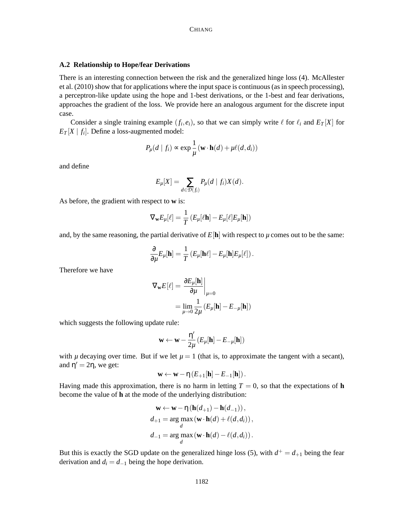## **A.2 Relationship to Hope/fear Derivations**

There is an interesting connection between the risk and the generalized hinge loss (4). McAllester et al. (2010) show that for applications where the input space is continuous (as in speech processing), a perceptron-like update using the hope and 1-best derivations, or the 1-best and fear derivations, approaches the gradient of the loss. We provide here an analogous argument for the discrete input case.

Consider a single training example  $(f_i, e_i)$ , so that we can simply write  $\ell$  for  $\ell_i$  and  $E_T[X]$  for  $E_T[X \mid f_i]$ . Define a loss-augmented model:

$$
P_{\mu}(d \mid f_i) \propto \exp \frac{1}{\mu} (\mathbf{w} \cdot \mathbf{h}(d) + \mu \ell(d, d_i))
$$

and define

$$
E_{\mu}[X] = \sum_{d \in \mathcal{D}(f_i)} P_{\mu}(d \mid f_i) X(d).
$$

As before, the gradient with respect to **w** is:

$$
\nabla_{\mathbf{w}} E_{\mu}[\ell] = \frac{1}{T} \left( E_{\mu}[\ell \mathbf{h}] - E_{\mu}[\ell] E_{\mu}[\mathbf{h}] \right)
$$

and, by the same reasoning, the partial derivative of  $E[\mathbf{h}]$  with respect to  $\mu$  comes out to be the same:

$$
\frac{\partial}{\partial \mu} E_{\mu}[\mathbf{h}] = \frac{1}{T} \left( E_{\mu}[\mathbf{h}\ell] - E_{\mu}[\mathbf{h}] E_{\mu}[\ell] \right).
$$

Therefore we have

$$
\nabla_{\mathbf{w}} E[\ell] = \frac{\partial E_{\mu}[\mathbf{h}]}{\partial \mu}\Big|_{\mu=0}
$$

$$
= \lim_{\mu \to 0} \frac{1}{2\mu} \left( E_{\mu}[\mathbf{h}] - E_{-\mu}[\mathbf{h}] \right)
$$

which suggests the following update rule:

$$
\mathbf{w} \leftarrow \mathbf{w} - \frac{\eta'}{2\mu} \left(E_{\mu}[\mathbf{h}] - E_{-\mu}[\mathbf{h}]\right)
$$

with  $\mu$  decaying over time. But if we let  $\mu = 1$  (that is, to approximate the tangent with a secant), and  $\eta' = 2\eta$ , we get:

$$
\mathbf{w} \leftarrow \mathbf{w} - \eta \left(E_{+1}[\mathbf{h}] - E_{-1}[\mathbf{h}]\right).
$$

Having made this approximation, there is no harm in letting  $T = 0$ , so that the expectations of **h** become the value of **h** at the mode of the underlying distribution:

$$
\mathbf{w} \leftarrow \mathbf{w} - \eta \left( \mathbf{h}(d_{+1}) - \mathbf{h}(d_{-1}) \right),
$$
  
\n
$$
d_{+1} = \underset{d}{\arg \max} \left( \mathbf{w} \cdot \mathbf{h}(d) + \ell(d, d_i) \right),
$$
  
\n
$$
d_{-1} = \underset{d}{\arg \max} \left( \mathbf{w} \cdot \mathbf{h}(d) - \ell(d, d_i) \right).
$$

But this is exactly the SGD update on the generalized hinge loss (5), with  $d^+ = d_{+1}$  being the fear derivation and  $d_i = d_{-1}$  being the hope derivation.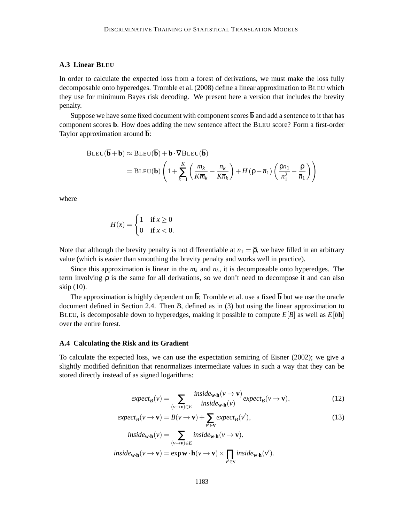## **A.3 Linear BLEU**

In order to calculate the expected loss from a forest of derivations, we must make the loss fully decomposable onto hyperedges. Tromble et al. (2008) define a linear approximation to BLEU which they use for minimum Bayes risk decoding. We present here a version that includes the brevity penalty.

Suppose we have some fixed document with component scores  $\overline{b}$  and add a sentence to it that has component scores **b**. How does adding the new sentence affect the BLEU score? Form a first-order Taylor approximation around **b**:

$$
\text{BLEU}(\overline{\mathbf{b}} + \mathbf{b}) \approx \text{BLEU}(\overline{\mathbf{b}}) + \mathbf{b} \cdot \nabla \text{BLEU}(\overline{\mathbf{b}})
$$
  
= 
$$
\text{BLEU}(\overline{\mathbf{b}}) \left( 1 + \sum_{k=1}^{K} \left( \frac{m_k}{K \overline{m}_k} - \frac{n_k}{K \overline{n}_k} \right) + H(\overline{\rho} - \overline{n}_1) \left( \frac{\overline{\rho} n_1}{\overline{n}_1^2} - \frac{\rho}{\overline{n}_1} \right) \right)
$$

where

$$
H(x) = \begin{cases} 1 & \text{if } x \ge 0 \\ 0 & \text{if } x < 0. \end{cases}
$$

Note that although the brevity penalty is not differentiable at  $\overline{n}_1 = \overline{\rho}$ , we have filled in an arbitrary value (which is easier than smoothing the brevity penalty and works well in practice).

Since this approximation is linear in the  $m_k$  and  $n_k$ , it is decomposable onto hyperedges. The term involving  $\rho$  is the same for all derivations, so we don't need to decompose it and can also skip (10).

The approximation is highly dependent on  $\overline{b}$ ; Tromble et al. use a fixed  $\overline{b}$  but we use the oracle document defined in Section 2.4. Then *B*, defined as in (3) but using the linear approximation to BLEU, is decomposable down to hyperedges, making it possible to compute  $E[B]$  as well as  $E[bh]$ over the entire forest.

#### **A.4 Calculating the Risk and its Gradient**

To calculate the expected loss, we can use the expectation semiring of Eisner (2002); we give a slightly modified definition that renormalizes intermediate values in such a way that they can be stored directly instead of as signed logarithms:

$$
expect_B(v) = \sum_{(v \to \mathbf{v}) \in E} \frac{inside_{\mathbf{w} \cdot \mathbf{h}}(v \to \mathbf{v})}{inside_{\mathbf{w} \cdot \mathbf{h}}(v)} except_B(v \to \mathbf{v}),
$$
(12)

$$
expect_B(v \to \mathbf{v}) = B(v \to \mathbf{v}) + \sum_{v' \in \mathbf{v}} expect_B(v'),
$$
\n(13)

$$
inside_{\mathbf{w}\cdot\mathbf{h}}(v) = \sum_{(v \to \mathbf{v}) \in E} inside_{\mathbf{w}\cdot\mathbf{h}}(v \to \mathbf{v}),
$$
  

$$
inside_{\mathbf{w}\cdot\mathbf{h}}(v \to \mathbf{v}) = \exp \mathbf{w}\cdot\mathbf{h}(v \to \mathbf{v}) \times \prod_{v' \in \mathbf{v}} inside_{\mathbf{w}\cdot\mathbf{h}}(v').
$$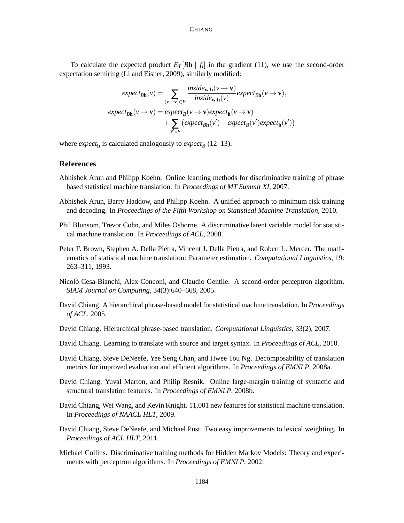To calculate the expected product  $E_T[\mathcal{B}h \mid f_i]$  in the gradient (11), we use the second-order expectation semiring (Li and Eisner, 2009), similarly modified:

$$
expect_{Bh}(v) = \sum_{(v \to v) \in E} \frac{inside_{w \cdot h}(v \to v)}{inside_{w \cdot h}(v)} except_{Bh}(v \to v),
$$
  
\n
$$
expect_{Bh}(v \to v) = expect_B(v \to v) expect_h(v \to v)
$$
  
\n
$$
+ \sum_{v' \in v} (expect_{Bh}(v') - expect_B(v') expect_h(v'))
$$

where  $\mathit{expect}_{\mathbf{h}}$  is calculated analogously to  $\mathit{expect}_{B}$  (12–13).

## **References**

- Abhishek Arun and Philipp Koehn. Online learning methods for discriminative training of phrase based statistical machine translation. In *Proceedings of MT Summit XI*, 2007.
- Abhishek Arun, Barry Haddow, and Philipp Koehn. A unified approach to minimum risk training and decoding. In *Proceedings of the Fifth Workshop on Statistical Machine Translation*, 2010.
- Phil Blunsom, Trevor Cohn, and Miles Osborne. A discriminative latent variable model for statistical machine translation. In *Proceedings of ACL*, 2008.
- Peter F. Brown, Stephen A. Della Pietra, Vincent J. Della Pietra, and Robert L. Mercer. The mathematics of statistical machine translation: Parameter estimation. *Computational Linguistics*, 19: 263–311, 1993.
- Nicolò Cesa-Bianchi, Alex Conconi, and Claudio Gentile. A second-order perceptron algorithm. *SIAM Journal on Computing*, 34(3):640–668, 2005.
- David Chiang. A hierarchical phrase-based model for statistical machine translation. In *Proceedings of ACL*, 2005.
- David Chiang. Hierarchical phrase-based translation. *Computational Linguistics*, 33(2), 2007.
- David Chiang. Learning to translate with source and target syntax. In *Proceedings of ACL*, 2010.
- David Chiang, Steve DeNeefe, Yee Seng Chan, and Hwee Tou Ng. Decomposability of translation metrics for improved evaluation and efficient algorithms. In *Proceedings of EMNLP*, 2008a.
- David Chiang, Yuval Marton, and Philip Resnik. Online large-margin training of syntactic and structural translation features. In *Proceedings of EMNLP*, 2008b.
- David Chiang, Wei Wang, and Kevin Knight. 11,001 new features for statistical machine translation. In *Proceedings of NAACL HLT*, 2009.
- David Chiang, Steve DeNeefe, and Michael Pust. Two easy improvements to lexical weighting. In *Proceedings of ACL HLT*, 2011.
- Michael Collins. Discriminative training methods for Hidden Markov Models: Theory and experiments with perceptron algorithms. In *Proceedings of EMNLP*, 2002.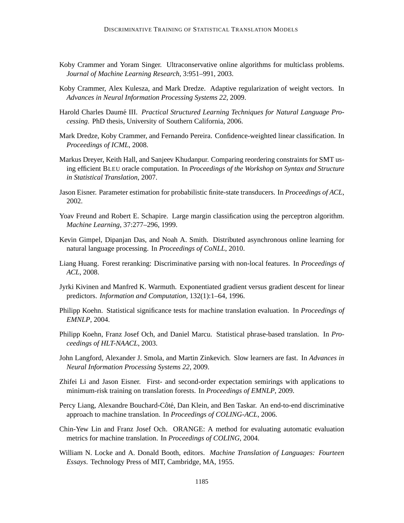- Koby Crammer and Yoram Singer. Ultraconservative online algorithms for multiclass problems. *Journal of Machine Learning Research*, 3:951–991, 2003.
- Koby Crammer, Alex Kulesza, and Mark Dredze. Adaptive regularization of weight vectors. In *Advances in Neural Information Processing Systems 22*, 2009.
- Harold Charles Daumé III. Practical Structured Learning Techniques for Natural Language Pro*cessing*. PhD thesis, University of Southern California, 2006.
- Mark Dredze, Koby Crammer, and Fernando Pereira. Confidence-weighted linear classification. In *Proceedings of ICML*, 2008.
- Markus Dreyer, Keith Hall, and Sanjeev Khudanpur. Comparing reordering constraints for SMT using efficient BLEU oracle computation. In *Proceedings of the Workshop on Syntax and Structure in Statistical Translation*, 2007.
- Jason Eisner. Parameter estimation for probabilistic finite-state transducers. In *Proceedings of ACL*, 2002.
- Yoav Freund and Robert E. Schapire. Large margin classification using the perceptron algorithm. *Machine Learning*, 37:277–296, 1999.
- Kevin Gimpel, Dipanjan Das, and Noah A. Smith. Distributed asynchronous online learning for natural language processing. In *Proceedings of CoNLL*, 2010.
- Liang Huang. Forest reranking: Discriminative parsing with non-local features. In *Proceedings of ACL*, 2008.
- Jyrki Kivinen and Manfred K. Warmuth. Exponentiated gradient versus gradient descent for linear predictors. *Information and Computation*, 132(1):1–64, 1996.
- Philipp Koehn. Statistical significance tests for machine translation evaluation. In *Proceedings of EMNLP*, 2004.
- Philipp Koehn, Franz Josef Och, and Daniel Marcu. Statistical phrase-based translation. In *Proceedings of HLT-NAACL*, 2003.
- John Langford, Alexander J. Smola, and Martin Zinkevich. Slow learners are fast. In *Advances in Neural Information Processing Systems 22*, 2009.
- Zhifei Li and Jason Eisner. First- and second-order expectation semirings with applications to minimum-risk training on translation forests. In *Proceedings of EMNLP*, 2009.
- Percy Liang, Alexandre Bouchard-Côté, Dan Klein, and Ben Taskar. An end-to-end discriminative approach to machine translation. In *Proceedings of COLING-ACL*, 2006.
- Chin-Yew Lin and Franz Josef Och. ORANGE: A method for evaluating automatic evaluation metrics for machine translation. In *Proceedings of COLING*, 2004.
- William N. Locke and A. Donald Booth, editors. *Machine Translation of Languages: Fourteen Essays*. Technology Press of MIT, Cambridge, MA, 1955.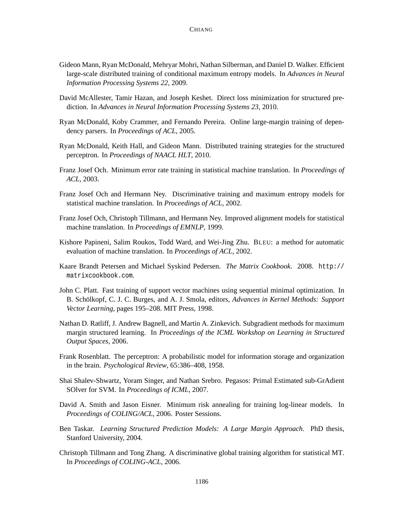- Gideon Mann, Ryan McDonald, Mehryar Mohri, Nathan Silberman, and Daniel D. Walker. Efficient large-scale distributed training of conditional maximum entropy models. In *Advances in Neural Information Processing Systems 22*, 2009.
- David McAllester, Tamir Hazan, and Joseph Keshet. Direct loss minimization for structured prediction. In *Advances in Neural Information Processing Systems 23*, 2010.
- Ryan McDonald, Koby Crammer, and Fernando Pereira. Online large-margin training of dependency parsers. In *Proceedings of ACL*, 2005.
- Ryan McDonald, Keith Hall, and Gideon Mann. Distributed training strategies for the structured perceptron. In *Proceedings of NAACL HLT*, 2010.
- Franz Josef Och. Minimum error rate training in statistical machine translation. In *Proceedings of ACL*, 2003.
- Franz Josef Och and Hermann Ney. Discriminative training and maximum entropy models for statistical machine translation. In *Proceedings of ACL*, 2002.
- Franz Josef Och, Christoph Tillmann, and Hermann Ney. Improved alignment models for statistical machine translation. In *Proceedings of EMNLP*, 1999.
- Kishore Papineni, Salim Roukos, Todd Ward, and Wei-Jing Zhu. BLEU: a method for automatic evaluation of machine translation. In *Proceedings of ACL*, 2002.
- Kaare Brandt Petersen and Michael Syskind Pedersen. *The Matrix Cookbook*. 2008. http:// matrixcookbook.com.
- John C. Platt. Fast training of support vector machines using sequential minimal optimization. In B. Schölkopf, C. J. C. Burges, and A. J. Smola, editors, Advances in Kernel Methods: Support *Vector Learning*, pages 195–208. MIT Press, 1998.
- Nathan D. Ratliff, J. Andrew Bagnell, and Martin A. Zinkevich. Subgradient methods for maximum margin structured learning. In *Proceedings of the ICML Workshop on Learning in Structured Output Spaces*, 2006.
- Frank Rosenblatt. The perceptron: A probabilistic model for information storage and organization in the brain. *Psychological Review*, 65:386–408, 1958.
- Shai Shalev-Shwartz, Yoram Singer, and Nathan Srebro. Pegasos: Primal Estimated sub-GrAdient SOlver for SVM. In *Proceedings of ICML*, 2007.
- David A. Smith and Jason Eisner. Minimum risk annealing for training log-linear models. In *Proceedings of COLING/ACL*, 2006. Poster Sessions.
- Ben Taskar. *Learning Structured Prediction Models: A Large Margin Approach*. PhD thesis, Stanford University, 2004.
- Christoph Tillmann and Tong Zhang. A discriminative global training algorithm for statistical MT. In *Proceedings of COLING-ACL*, 2006.